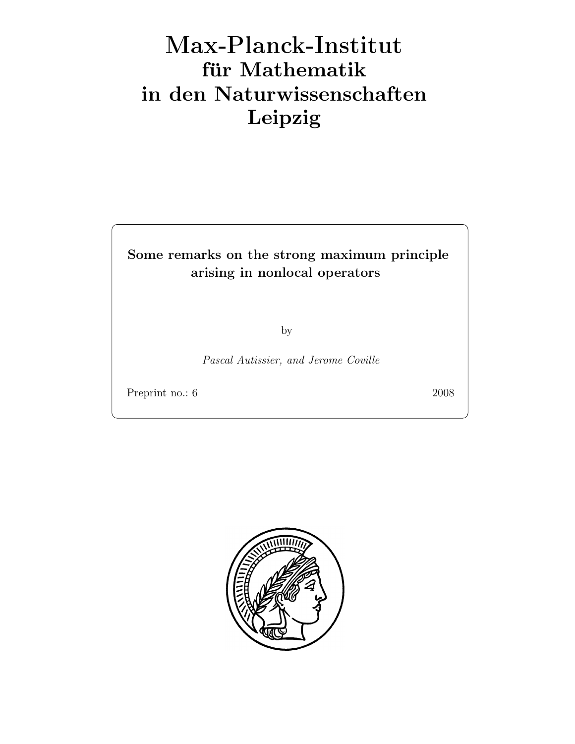# Max-Plan
k-Institut für Mathematik in den Naturwissenschaften Leipzig

# Some remarks on the strong maximum principle arising in nonlocal operators

by

Pascal Autissier, and Jerome Coville

Preprint no.: 6 2008

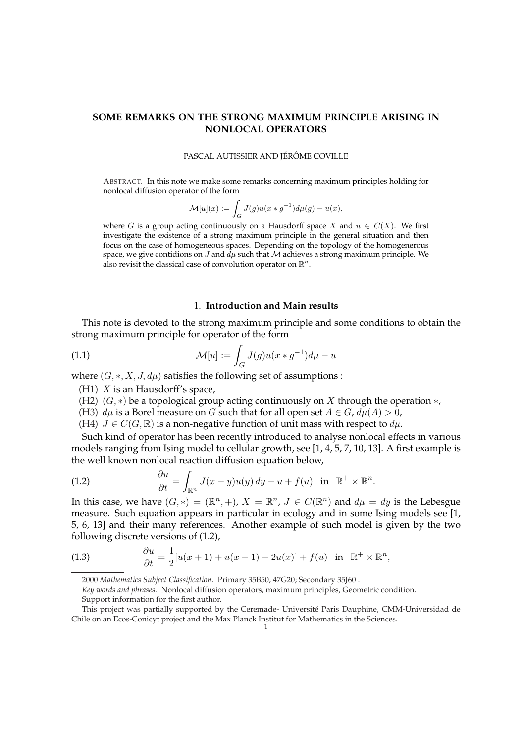# **SOME REMARKS ON THE STRONG MAXIMUM PRINCIPLE ARISING IN NONLOCAL OPERATORS**

PASCAL AUTISSIER AND JÉRÔME COVILLE

ABSTRACT. In this note we make some remarks concerning maximum principles holding for nonlocal diffusion operator of the form

$$
\mathcal{M}[u](x) := \int_G J(g)u(x * g^{-1})d\mu(g) - u(x),
$$

where G is a group acting continuously on a Hausdorff space X and  $u \in C(X)$ . We first investigate the existence of a strong maximum principle in the general situation and then focus on the case of homogeneous spaces. Depending on the topology of the homogenerous space, we give contidions on J and  $d\mu$  such that M achieves a strong maximum principle. We also revisit the classical case of convolution operator on  $\mathbb{R}^n$ .

# 1. **Introduction and Main results**

This note is devoted to the strong maximum principle and some conditions to obtain the strong maximum principle for operator of the form

(1.1) 
$$
\mathcal{M}[u] := \int_G J(g)u(x * g^{-1})d\mu - u
$$

where  $(G, \ast, X, J, d\mu)$  satisfies the following set of assumptions :

- (H1)  $X$  is an Hausdorff's space,
- (H2)  $(G, *)$  be a topological group acting continuously on X through the operation  $*$ ,
- (H3)  $d\mu$  is a Borel measure on G such that for all open set  $A \in G$ ,  $d\mu(A) > 0$ ,
- (H4)  $J \in C(G, \mathbb{R})$  is a non-negative function of unit mass with respect to  $d\mu$ .

Such kind of operator has been recently introduced to analyse nonlocal effects in various models ranging from Ising model to cellular growth, see [1, 4, 5, 7, 10, 13]. A first example is the well known nonlocal reaction diffusion equation below,

(1.2) 
$$
\frac{\partial u}{\partial t} = \int_{\mathbb{R}^n} J(x - y)u(y) dy - u + f(u) \text{ in } \mathbb{R}^+ \times \mathbb{R}^n.
$$

In this case, we have  $(G,*) = (\mathbb{R}^n, +)$ ,  $X = \mathbb{R}^n$ ,  $J \in C(\mathbb{R}^n)$  and  $d\mu = dy$  is the Lebesgue measure. Such equation appears in particular in ecology and in some Ising models see [1, 5, 6, 13] and their many references. Another example of such model is given by the two following discrete versions of (1.2),

(1.3) 
$$
\frac{\partial u}{\partial t} = \frac{1}{2} [u(x+1) + u(x-1) - 2u(x)] + f(u) \text{ in } \mathbb{R}^+ \times \mathbb{R}^n,
$$

<sup>2000</sup> *Mathematics Subject Classification.* Primary 35B50, 47G20; Secondary 35J60 .

*Key words and phrases.* Nonlocal diffusion operators, maximum principles, Geometric condition. Support information for the first author.

This project was partially supported by the Ceremade- Universite Paris Dauphine, CMM-Universidad de ´ Chile on an Ecos-Conicyt project and the Max Planck Institut for Mathematics in the Sciences.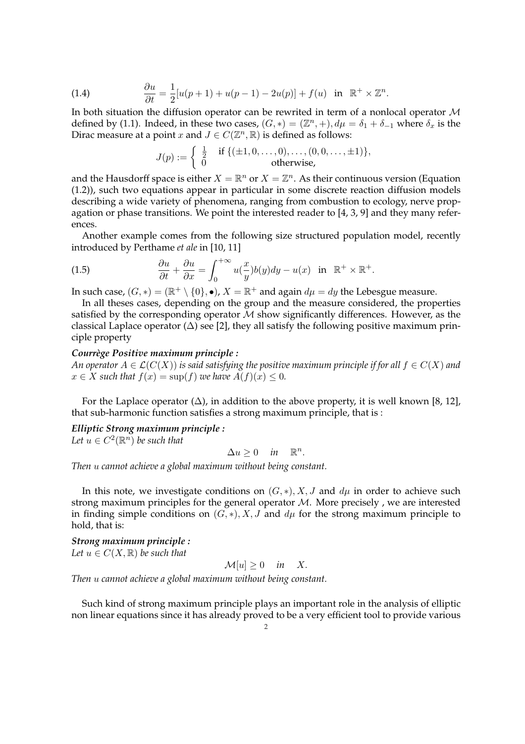(1.4) 
$$
\frac{\partial u}{\partial t} = \frac{1}{2} [u(p+1) + u(p-1) - 2u(p)] + f(u) \text{ in } \mathbb{R}^+ \times \mathbb{Z}^n.
$$

In both situation the diffusion operator can be rewrited in term of a nonlocal operator  $\mathcal M$ defined by (1.1). Indeed, in these two cases,  $(G, *) = (\mathbb{Z}^n, +), d\mu = \delta_1 + \delta_{-1}$  where  $\delta_x$  is the Dirac measure at a point x and  $J \in C(\mathbb{Z}^n,\mathbb{R})$  is defined as follows:

$$
J(p) := \begin{cases} \frac{1}{2} & \text{if } \{ (\pm 1, 0, \dots, 0), \dots, (0, 0, \dots, \pm 1) \}, \\ 0 & \text{otherwise,} \end{cases}
$$

and the Hausdorff space is either  $X = \mathbb{R}^n$  or  $X = \mathbb{Z}^n$ . As their continuous version (Equation (1.2)), such two equations appear in particular in some discrete reaction diffusion models describing a wide variety of phenomena, ranging from combustion to ecology, nerve propagation or phase transitions. We point the interested reader to  $[4, 3, 9]$  and they many references.

Another example comes from the following size structured population model, recently introduced by Perthame *et ale* in [10, 11]

(1.5) 
$$
\frac{\partial u}{\partial t} + \frac{\partial u}{\partial x} = \int_0^{+\infty} u(\frac{x}{y}) b(y) dy - u(x) \text{ in } \mathbb{R}^+ \times \mathbb{R}^+.
$$

In such case,  $(G, *) = (\mathbb{R}^+ \setminus \{0\}, \bullet)$ ,  $X = \mathbb{R}^+$  and again  $d\mu = dy$  the Lebesgue measure.

In all theses cases, depending on the group and the measure considered, the properties satisfied by the corresponding operator  $M$  show significantly differences. However, as the classical Laplace operator  $(\Delta)$  see [2], they all satisfy the following positive maximum principle property

# *Courrege Positive maximum principle : `*

*An operator*  $A \in \mathcal{L}(C(X))$  *is said satisfying the positive maximum principle if for all*  $f \in C(X)$  *and*  $x \in X$  *such that*  $f(x) = \sup(f)$  *we have*  $A(f)(x) \leq 0$ *.* 

For the Laplace operator  $(\Delta)$ , in addition to the above property, it is well known [8, 12], that sub-harmonic function satisfies a strong maximum principle, that is :

# *Elliptic Strong maximum principle :*

Let  $u \in C^2(\mathbb{R}^n)$  be such that

 $\Delta u \geq 0$  *in*  $\mathbb{R}^n$ .

*Then* u *cannot achieve a global maximum without being constant.*

In this note, we investigate conditions on  $(G, *), X, J$  and  $d\mu$  in order to achieve such strong maximum principles for the general operator  $M$ . More precisely, we are interested in finding simple conditions on  $(G, *), X, J$  and  $d\mu$  for the strong maximum principle to hold, that is:

*Strong maximum principle : Let*  $u \in C(X, \mathbb{R})$  *be such that* 

$$
\mathcal{M}[u] \ge 0 \quad \text{in} \quad X.
$$

*Then* u *cannot achieve a global maximum without being constant.*

Such kind of strong maximum principle plays an important role in the analysis of elliptic non linear equations since it has already proved to be a very efficient tool to provide various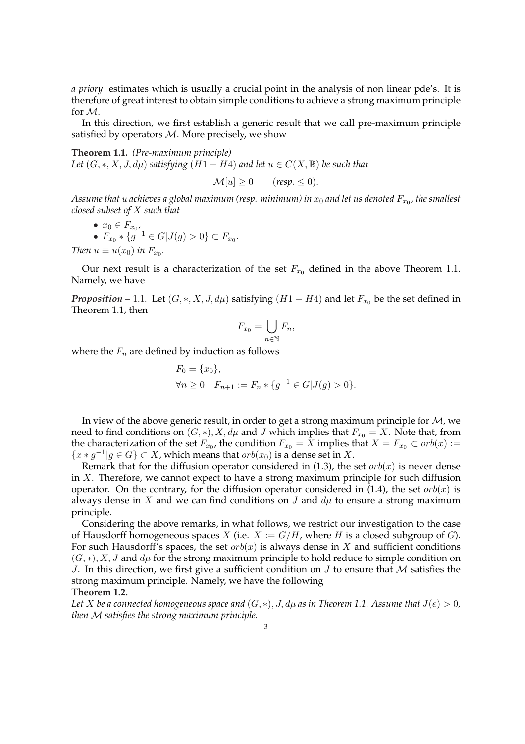*a priory* estimates which is usually a crucial point in the analysis of non linear pde's. It is therefore of great interest to obtain simple conditions to achieve a strong maximum principle for M.

In this direction, we first establish a generic result that we call pre-maximum principle satisfied by operators  $M$ . More precisely, we show

**Theorem 1.1.** *(Pre-maximum principle) Let*  $(G, *, X, J, d\mu)$  *satisfying*  $(H1 - H4)$  *and let*  $u \in C(X, \mathbb{R})$  *be such that* 

$$
\mathcal{M}[u] \ge 0 \qquad (resp. \le 0).
$$

Assume that  $u$  achieves a global maximum (resp. minimum) in  $x_0$  and let us denoted  $F_{x_0}$ , the smallest *closed subset of* X *such that*

• 
$$
x_0 \in F_{x_0}
$$
,  
\n•  $F_{x_0} * \{g^{-1} \in G | J(g) > 0\} \subset F_{x_0}$ .

*Then*  $u \equiv u(x_0)$  *in*  $F_{x_0}$ *.* 

Our next result is a characterization of the set  $F_{x_0}$  defined in the above Theorem 1.1. Namely, we have

*Proposition* – 1.1. Let  $(G, *, X, J, d\mu)$  satisfying  $(H1 - H4)$  and let  $F_{x_0}$  be the set defined in Theorem 1.1, then

$$
F_{x_0} = \overline{\bigcup_{n \in \mathbb{N}} F_n},
$$

where the  $F_n$  are defined by induction as follows

$$
F_0 = \{x_0\},
$$
  
\n
$$
\forall n \ge 0 \quad F_{n+1} := F_n * \{g^{-1} \in G | J(g) > 0\}.
$$

In view of the above generic result, in order to get a strong maximum principle for  $M$ , we need to find conditions on  $(G, *), X, d\mu$  and J which implies that  $F_{x_0} = X$ . Note that, from the characterization of the set  $F_{x_0}$ , the condition  $F_{x_0}=X$  implies that  $X=F_{x_0}\subset orb(x):=$  ${x * g^{-1} | g \in G} \subset X$ , which means that  $orb(x_0)$  is a dense set in X.

Remark that for the diffusion operator considered in (1.3), the set  $orb(x)$  is never dense in  $X$ . Therefore, we cannot expect to have a strong maximum principle for such diffusion operator. On the contrary, for the diffusion operator considered in (1.4), the set  $orb(x)$  is always dense in X and we can find conditions on J and  $d\mu$  to ensure a strong maximum principle.

Considering the above remarks, in what follows, we restrict our investigation to the case of Hausdorff homogeneous spaces X (i.e.  $X := G/H$ , where H is a closed subgroup of G). For such Hausdorff's spaces, the set  $orb(x)$  is always dense in X and sufficient conditions  $(G, *), X, J$  and  $d\mu$  for the strong maximum principle to hold reduce to simple condition on J. In this direction, we first give a sufficient condition on  $J$  to ensure that  $M$  satisfies the strong maximum principle. Namely, we have the following

**Theorem 1.2.**

*Let X be a connected homogeneous space and*  $(G, *), J, d\mu$  *as in Theorem 1.1. Assume that*  $J(e) > 0$ *, then* M *satisfies the strong maximum principle.*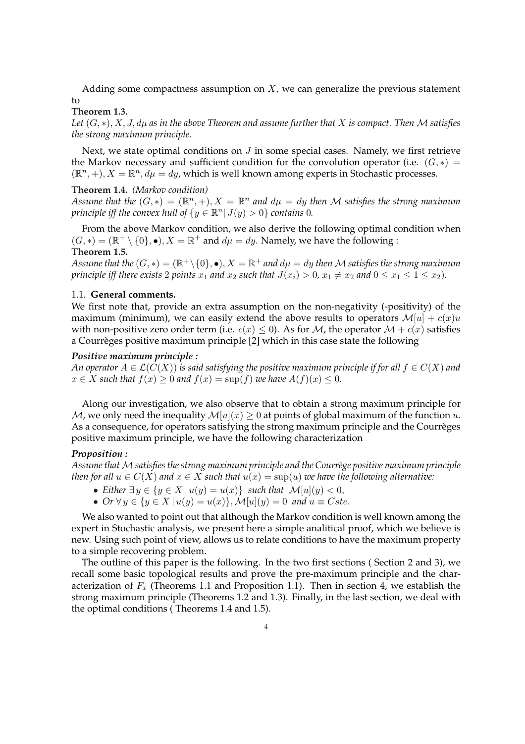Adding some compactness assumption on  $X$ , we can generalize the previous statement to

#### **Theorem 1.3.**

*Let* (G, ∗),X,J,dµ *as in the above Theorem and assume further that* X *is compact. Then* M *satisfies the strong maximum principle.*

Next, we state optimal conditions on  $J$  in some special cases. Namely, we first retrieve the Markov necessary and sufficient condition for the convolution operator (i.e.  $(G, *) =$  $(\mathbb{R}^n, +), X = \mathbb{R}^n, d\mu = dy$ , which is well known among experts in Stochastic processes.

# **Theorem 1.4.** *(Markov condition)*

*Assume that the*  $(G,*) = (\mathbb{R}^n, +), X = \mathbb{R}^n$  and  $d\mu = dy$  then M satisfies the strong maximum *principle iff the convex hull of*  $\{y \in \mathbb{R}^n | J(y) > 0\}$  *contains* 0*.* 

From the above Markov condition, we also derive the following optimal condition when  $(G, *) = (\mathbb{R}^+ \setminus \{0\}, \bullet), X = \mathbb{R}^+$  and  $d\mu = dy$ . Namely, we have the following : **Theorem 1.5.**

Assume that the  $(G,*)=(\mathbb{R}^+\backslash\{0\},\bullet), X=\mathbb{R}^+$  and  $d\mu=dy$  then  ${\mathcal M}$  satisfies the strong maximum *principle iff there exists* 2 *points*  $x_1$  *and*  $x_2$  *such that*  $J(x_i) > 0$ ,  $x_1 \neq x_2$  *and*  $0 \leq x_1 \leq 1 \leq x_2$ *).* 

# 1.1. **General comments.**

We first note that, provide an extra assumption on the non-negativity (-positivity) of the maximum (minimum), we can easily extend the above results to operators  $\mathcal{M}[u] + c(x)u$ with non-positive zero order term (i.e.  $c(x) \le 0$ ). As for M, the operator  $\mathcal{M} + c(x)$  satisfies a Courreges positive maximum principle [2] which in this case state the following `

# *Positive maximum principle :*

*An operator*  $A \in \mathcal{L}(C(X))$  *is said satisfying the positive maximum principle if for all*  $f \in C(X)$  *and*  $x \in X$  *such that*  $f(x) \ge 0$  *and*  $f(x) = \sup(f)$  *we have*  $A(f)(x) \le 0$ *.* 

Along our investigation, we also observe that to obtain a strong maximum principle for M, we only need the inequality  $M[u](x) \geq 0$  at points of global maximum of the function u. As a consequence, for operators satisfying the strong maximum principle and the Courrèges positive maximum principle, we have the following characterization

#### *Proposition :*

Assume that M satisfies the strong maximum principle and the Courrège positive maximum principle *then for all*  $u \in C(X)$  *and*  $x \in X$  *such that*  $u(x) = \sup(u)$  *we have the following alternative:* 

- *Either*  $\exists y \in \{y \in X \mid u(y) = u(x)\}$  *such that*  $\mathcal{M}[u](y) < 0$ ,
- $Or \forall y \in \{y \in X \mid u(y) = u(x)\}, \mathcal{M}[u](y) = 0$  and  $u \equiv Cste$ .

We also wanted to point out that although the Markov condition is well known among the expert in Stochastic analysis, we present here a simple analitical proof, which we believe is new. Using such point of view, allows us to relate conditions to have the maximum property to a simple recovering problem.

The outline of this paper is the following. In the two first sections ( Section 2 and 3), we recall some basic topological results and prove the pre-maximum principle and the characterization of  $F_x$  (Theorems 1.1 and Proposition 1.1). Then in section 4, we establish the strong maximum principle (Theorems 1.2 and 1.3). Finally, in the last section, we deal with the optimal conditions ( Theorems 1.4 and 1.5).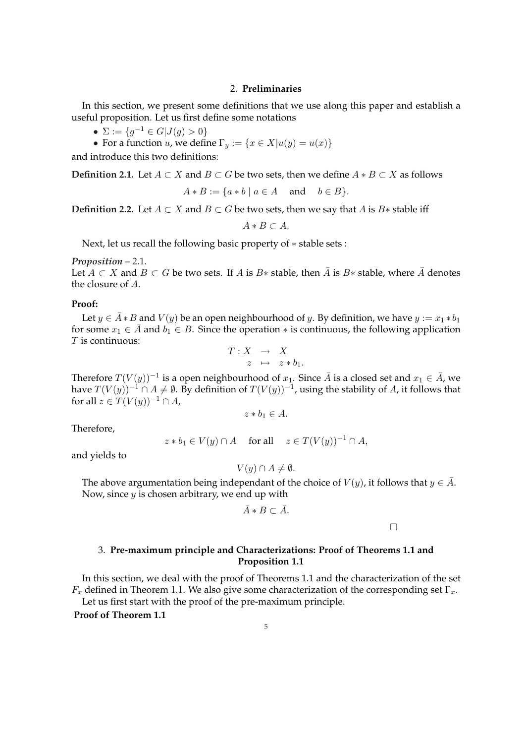#### 2. **Preliminaries**

In this section, we present some definitions that we use along this paper and establish a useful proposition. Let us first define some notations

- $\Sigma := \{g^{-1} \in G | J(g) > 0\}$
- For a function u, we define  $\Gamma_y := \{x \in X | u(y) = u(x) \}$

and introduce this two definitions:

**Definition 2.1.** Let  $A \subset X$  and  $B \subset G$  be two sets, then we define  $A * B \subset X$  as follows

$$
A * B := \{ a * b \mid a \in A \quad \text{and} \quad b \in B \}.
$$

**Definition 2.2.** Let  $A \subset X$  and  $B \subset G$  be two sets, then we say that  $A$  is  $B*$  stable iff

 $A * B \subset A$ .

Next, let us recall the following basic property of ∗ stable sets :

*Proposition –* 2.1*.*

Let  $A \subset X$  and  $B \subset G$  be two sets. If A is  $B*$  stable, then  $\overline{A}$  is  $B*$  stable, where  $\overline{A}$  denotes the closure of A.

#### **Proof:**

Let  $y \in \overline{A} * B$  and  $V(y)$  be an open neighbourhood of y. By definition, we have  $y := x_1 * b_1$ for some  $x_1 \in \overline{A}$  and  $b_1 \in B$ . Since the operation  $*$  is continuous, the following application  $T$  is continuous:

$$
T: X \rightarrow X
$$
  

$$
z \mapsto z * b_1.
$$

Therefore  $T(V(y))^{-1}$  is a open neighbourhood of  $x_1$ . Since  $\bar{A}$  is a closed set and  $x_1 \in \bar{A}$ , we have  $T(V(y))^{-1} ∩ A ≠ ∅$ . By definition of  $T(V(y))^{-1}$ , using the stability of A, it follows that for all  $z \in T(V(y))^{-1} \cap A$ ,

$$
z * b_1 \in A.
$$

Therefore,

$$
z * b_1 \in V(y) \cap A \quad \text{ for all } \quad z \in T(V(y))^{-1} \cap A,
$$

and yields to

$$
V(y) \cap A \neq \emptyset.
$$

The above argumentation being independant of the choice of  $V(y)$ , it follows that  $y \in \overline{A}$ . Now, since  $y$  is chosen arbitrary, we end up with

$$
\bar{A} * B \subset \bar{A}.
$$

¤

# 3. **Pre-maximum principle and Characterizations: Proof of Theorems 1.1 and Proposition 1.1**

In this section, we deal with the proof of Theorems 1.1 and the characterization of the set  $F_x$  defined in Theorem 1.1. We also give some characterization of the corresponding set  $\Gamma_x$ . Let us first start with the proof of the pre-maximum principle.

**Proof of Theorem 1.1**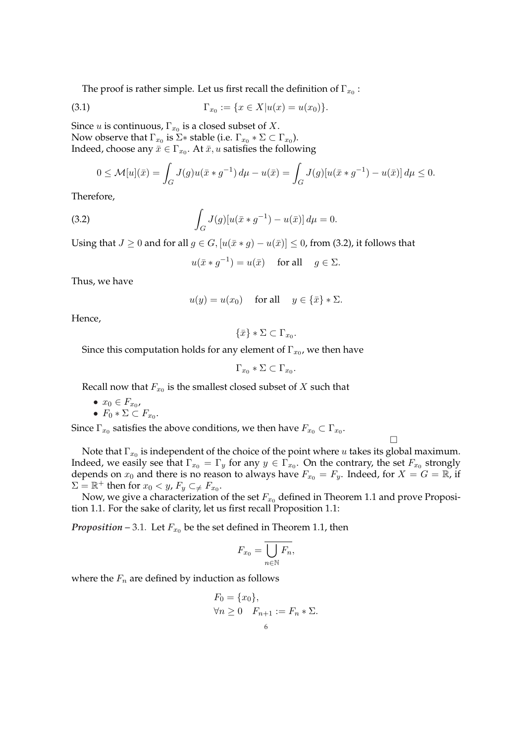The proof is rather simple. Let us first recall the definition of  $\Gamma_{x_0}$  :

(3.1) 
$$
\Gamma_{x_0} := \{x \in X | u(x) = u(x_0) \}.
$$

Since  $u$  is continuous,  $\Gamma_{x_0}$  is a closed subset of  $X.$ Now observe that  $\Gamma_{x_0}$  is  $\Sigma*$  stable (i.e.  $\Gamma_{x_0}*\Sigma\subset \Gamma_{x_0}$ ). Indeed, choose any  $\bar{x} \in \Gamma_{x_0}$ . At  $\bar{x},u$  satisfies the following

$$
0 \le \mathcal{M}[u](\bar{x}) = \int_G J(g)u(\bar{x} * g^{-1}) d\mu - u(\bar{x}) = \int_G J(g)[u(\bar{x} * g^{-1}) - u(\bar{x})] d\mu \le 0.
$$

Therefore,

(3.2) 
$$
\int_G J(g)[u(\bar{x}*g^{-1})-u(\bar{x})] d\mu = 0.
$$

Using that  $J \ge 0$  and for all  $g \in G$ ,  $[u(\bar{x} * g) - u(\bar{x})] \le 0$ , from (3.2), it follows that

$$
u(\bar{x} * g^{-1}) = u(\bar{x}) \quad \text{ for all } \quad g \in \Sigma.
$$

Thus, we have

$$
u(y) = u(x_0)
$$
 for all  $y \in {\overline{x}} * \Sigma$ .

Hence,

 $\{\bar{x}\}\ast\Sigma\subset\Gamma_{x_0}.$ 

Since this computation holds for any element of  $\Gamma_{x_0}$ , we then have

 $\Gamma_{x_0} * \Sigma \subset \Gamma_{x_0}.$ 

Recall now that  $F_{x_0}$  is the smallest closed subset of  $X$  such that

$$
\bullet \ x_0 \in F_{x_0},
$$

• 
$$
F_0 * \Sigma \subset F_{x_0}
$$
.

Since  $\Gamma_{x_0}$  satisfies the above conditions, we then have  $F_{x_0}\subset \Gamma_{x_0}.$ 

Note that  $\Gamma_{x_0}$  is independent of the choice of the point where  $u$  takes its global maximum. Indeed, we easily see that  $\Gamma_{x_0}=\Gamma_y$  for any  $y\in \Gamma_{x_0}.$  On the contrary, the set  $F_{x_0}$  strongly depends on  $x_0$  and there is no reason to always have  $F_{x_0} = F_y$ . Indeed, for  $X = G = \mathbb{R}$ , if  $\Sigma = \mathbb{R}^+$  then for  $x_0 < y$ ,  $F_y \subset \neq F_{x_0}$ .

¤

Now, we give a characterization of the set  $F_{x0}$  defined in Theorem 1.1 and prove Proposition 1.1. For the sake of clarity, let us first recall Proposition 1.1:

*Proposition* – 3.1. Let  $F_{x_0}$  be the set defined in Theorem 1.1, then

$$
F_{x_0} = \overline{\bigcup_{n \in \mathbb{N}} F_n},
$$

where the  $F_n$  are defined by induction as follows

$$
F_0 = \{x_0\},
$$
  
\n
$$
\forall n \ge 0 \quad F_{n+1} := F_n * \Sigma.
$$
  
\n6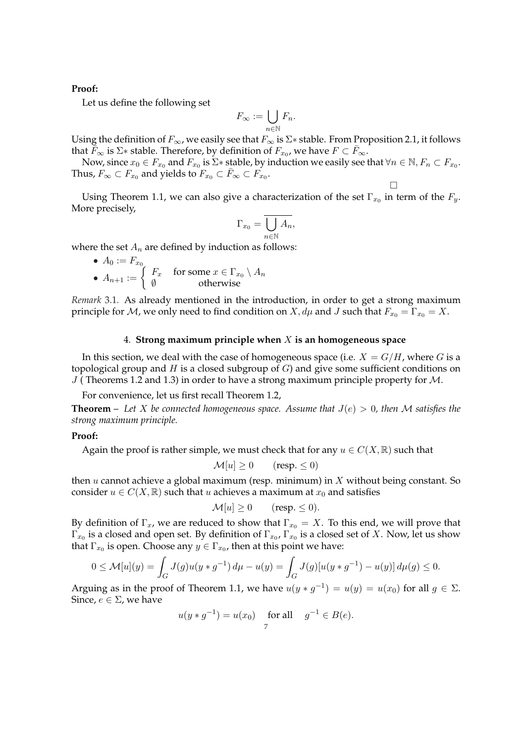#### **Proof:**

Let us define the following set

$$
F_{\infty} := \bigcup_{n \in \mathbb{N}} F_n.
$$

Using the definition of  $F_{\infty}$ , we easily see that  $F_{\infty}$  is  $\Sigma*$  stable. From Proposition 2.1, it follows that  $\breve{\bar{F}}_{\infty}$  is  $\Sigma*$  stable. Therefore, by definition of  $F_{x_0}$ , we have  $F \subset \bar{F}_{\infty}$ .

Now, since  $x_0\in F_{x_0}$  and  $F_{x_0}$  is  $\Sigma*$  stable, by induction we easily see that  $\forall n\in\mathbb{N}$ ,  $F_n\subset F_{x_0}$ . Thus,  $F_\infty \subset F_{x_0}$  and yields to  $F_{x_0} \subset \bar{F}_\infty \subset \bar{F_{x_0}}$ .

¤

Using Theorem 1.1, we can also give a characterization of the set  $\Gamma_{x_0}$  in term of the  $F_y$ . More precisely,

$$
\Gamma_{x_0} = \overline{\bigcup_{n \in \mathbb{N}} A_n},
$$

where the set  $A_n$  are defined by induction as follows:

\n- $$
A_0 := F_{x_0}
$$
\n- $A_{n+1} := \begin{cases} F_x & \text{for some } x \in \Gamma_{x_0} \setminus A_n \\ \emptyset & \text{otherwise} \end{cases}$
\n

*Remark* 3.1*.* As already mentioned in the introduction, in order to get a strong maximum principle for *M*, we only need to find condition on  $X, d\mu$  and *J* such that  $F_{x_0} = \Gamma_{x_0} = X$ .

#### 4. **Strong maximum principle when** X **is an homogeneous space**

In this section, we deal with the case of homogeneous space (i.e.  $X = G/H$ , where G is a topological group and H is a closed subgroup of  $G$ ) and give some sufficient conditions on  $J$  (Theorems 1.2 and 1.3) in order to have a strong maximum principle property for  $M$ .

For convenience, let us first recall Theorem 1.2,

**Theorem** – Let X be connected homogeneous space. Assume that  $J(e) > 0$ , then M satisfies the *strong maximum principle.*

#### **Proof:**

Again the proof is rather simple, we must check that for any  $u \in C(X, \mathbb{R})$  such that

$$
\mathcal{M}[u] \ge 0 \qquad \text{(resp. } \le 0\text{)}
$$

then  $u$  cannot achieve a global maximum (resp. minimum) in  $X$  without being constant. So consider  $u \in C(X, \mathbb{R})$  such that u achieves a maximum at  $x_0$  and satisfies

$$
\mathcal{M}[u] \ge 0 \qquad \text{(resp.} \le 0\text{)}.
$$

By definition of  $\Gamma_x$ , we are reduced to show that  $\Gamma_{x_0} = X$ . To this end, we will prove that  $\Gamma_{x_0}$  is a closed and open set. By definition of  $\Gamma_{x_0}$ ,  $\Gamma_{x_0}$  is a closed set of  $X.$  Now, let us show that  $\Gamma_{x_0}$  is open. Choose any  $y \in \Gamma_{x_0}$ , then at this point we have:

$$
0 \le \mathcal{M}[u](y) = \int_G J(g)u(y * g^{-1}) d\mu - u(y) = \int_G J(g)[u(y * g^{-1}) - u(y)] d\mu(g) \le 0.
$$

Arguing as in the proof of Theorem 1.1, we have  $u(y * g^{-1}) = u(y) = u(x_0)$  for all  $g \in \Sigma$ . Since,  $e \in \Sigma$ , we have

$$
u(y * g^{-1}) = u(x_0)
$$
 for all  $g^{-1} \in B(e)$ .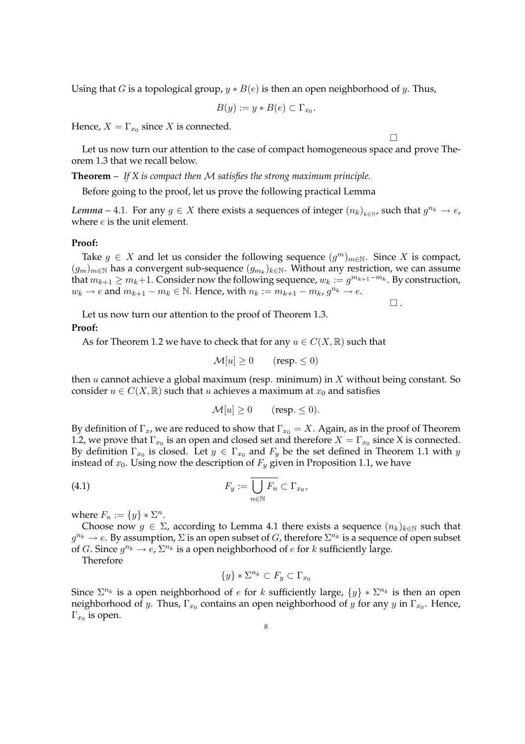Using that G is a topological group,  $y * B(e)$  is then an open neighborhood of y. Thus,

$$
B(y) := y * B(e) \subset \Gamma_{x_0}.
$$

Hence,  $X=\Gamma_{x_0}$  since  $X$  is connected.

¤

Let us now turn our attention to the case of compact homogeneous space and prove Theorem 1.3 that we recall below.

**Theorem** – *If X is compact then* M *satisfies the strong maximum principle.*

Before going to the proof, let us prove the following practical Lemma

*Lemma* – 4.1. For any  $g \in X$  there exists a sequences of integer  $(n_k)_{k \in \mathbb{N}}$ , such that  $g^{n_k} \to e$ , where  $e$  is the unit element.

#### **Proof:**

Take  $g \in X$  and let us consider the following sequence  $(g^m)_{m \in \mathbb{N}}$ . Since X is compact,  $(g_m)_{m\in\mathbb{N}}$  has a convergent sub-sequence  $(g_{m_k})_{k\in\mathbb{N}}.$  Without any restriction, we can assume that  $m_{k+1} \ge m_k+1$ . Consider now the following sequence,  $w_k := g^{m_{k+1}-m_k}$ . By construction,  $w_k \to e$  and  $m_{k+1} - m_k \in \mathbb{N}$ . Hence, with  $n_k := m_{k+1} - m_k$ ,  $g^{n_k} \to e$ .

 $\square$ .

Let us now turn our attention to the proof of Theorem 1.3.

# **Proof:**

As for Theorem 1.2 we have to check that for any  $u \in C(X, \mathbb{R})$  such that

$$
\mathcal{M}[u] \ge 0 \qquad \text{(resp.} \le 0\text{)}
$$

then  $u$  cannot achieve a global maximum (resp. minimum) in  $X$  without being constant. So consider  $u \in C(X, \mathbb{R})$  such that u achieves a maximum at  $x_0$  and satisfies

$$
\mathcal{M}[u] \ge 0 \qquad \text{(resp.} \le 0\text{)}.
$$

By definition of  $\Gamma_x$ , we are reduced to show that  $\Gamma_{x_0} = X$ . Again, as in the proof of Theorem 1.2, we prove that  $\Gamma_{x_0}$  is an open and closed set and therefore  $X=\Gamma_{x_0}$  since X is connected. By definition  $\Gamma_{x_0}$  is closed. Let  $y \in \Gamma_{x_0}$  and  $F_y$  be the set defined in Theorem 1.1 with  $y$ instead of  $x_0$ . Using now the description of  $F_y$  given in Proposition 1.1, we have

(4.1) 
$$
F_y := \overline{\bigcup_{n \in \mathbb{N}} F_n} \subset \Gamma_{x_0},
$$

where  $F_n := \{y\} * \Sigma^n$ .

Choose now  $g \in \Sigma$ , according to Lemma 4.1 there exists a sequence  $(n_k)_{k \in \mathbb{N}}$  such that  $g^{n_k} \to e$ . By assumption,  $\Sigma$  is an open subset of  $G$ , therefore  $\Sigma^{n_k}$  is a sequence of open subset of G. Since  $g^{n_k} \to e$ ,  $\Sigma^{n_k}$  is a open neighborhood of e for k sufficiently large.

Therefore

$$
\{y\} * \Sigma^{n_k} \subset F_y \subset \Gamma_{x_0}
$$

Since  $\Sigma^{n_k}$  is a open neighborhood of e for k sufficiently large,  $\{y\} * \Sigma^{n_k}$  is then an open neighborhood of  $y$ . Thus,  $\Gamma_{x_0}$  contains an open neighborhood of  $y$  for any  $y$  in  $\Gamma_{x_0}$ . Hence,  $\Gamma_{x_0}$  is open.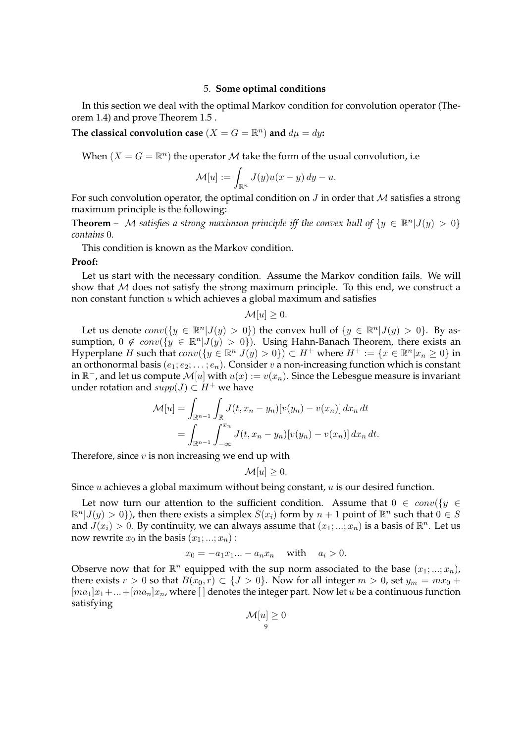#### 5. **Some optimal conditions**

In this section we deal with the optimal Markov condition for convolution operator (Theorem 1.4) and prove Theorem 1.5 .

The classical convolution case  $(X = G = \mathbb{R}^n)$  and  $d\mu = dy$ **:** 

When  $(X = G = \mathbb{R}^n)$  the operator M take the form of the usual convolution, i.e

$$
\mathcal{M}[u] := \int_{\mathbb{R}^n} J(y)u(x - y) dy - u.
$$

For such convolution operator, the optimal condition on  $J$  in order that  $M$  satisfies a strong maximum principle is the following:

**Theorem** – M satisfies a strong maximum principle iff the convex hull of  $\{y \in \mathbb{R}^n | J(y) > 0\}$ *contains* 0*.*

This condition is known as the Markov condition.

#### **Proof:**

Let us start with the necessary condition. Assume the Markov condition fails. We will show that  $M$  does not satisfy the strong maximum principle. To this end, we construct a non constant function  $u$  which achieves a global maximum and satisfies

$$
\mathcal{M}[u] \geq 0.
$$

Let us denote  $conv({y \in \mathbb{R}^n | J(y) > 0})$  the convex hull of  ${y \in \mathbb{R}^n | J(y) > 0}$ . By assumption,  $0 \notin conv({y \in \mathbb{R}^n | J(y) > 0})$ . Using Hahn-Banach Theorem, there exists an Hyperplane H such that  $conv(\lbrace y \in \mathbb{R}^n | J(y) > 0 \rbrace) \subset H^+$  where  $H^+ := \lbrace x \in \mathbb{R}^n | x_n \geq 0 \rbrace$  in an orthonormal basis  $(e_1; e_2; \ldots; e_n)$ . Consider v a non-increasing function which is constant in  $\mathbb{R}^-$ , and let us compute  $\mathcal{M}[u]$  with  $u(x):=v(x_n).$  Since the Lebesgue measure is invariant under rotation and  $supp(J) \subset H^+$  we have

$$
\mathcal{M}[u] = \int_{\mathbb{R}^{n-1}} \int_{\mathbb{R}} J(t, x_n - y_n) [v(y_n) - v(x_n)] \, dx_n \, dt
$$
  
= 
$$
\int_{\mathbb{R}^{n-1}} \int_{-\infty}^{x_n} J(t, x_n - y_n) [v(y_n) - v(x_n)] \, dx_n \, dt.
$$

Therefore, since  $v$  is non increasing we end up with

 $\mathcal{M}[u] \geq 0.$ 

Since u achieves a global maximum without being constant, u is our desired function.

Let now turn our attention to the sufficient condition. Assume that  $0 \in conv({y \in Y})$  $\mathbb{R}^n |J(y) > 0\}$ ), then there exists a simplex  $S(x_i)$  form by  $n+1$  point of  $\mathbb{R}^n$  such that  $0 \in S$ and  $J(x_i) > 0$ . By continuity, we can always assume that  $(x_1;...;x_n)$  is a basis of  $\mathbb{R}^n$ . Let us now rewrite  $x_0$  in the basis  $(x_1; \ldots; x_n)$ :

$$
x_0 = -a_1 x_1 \dots - a_n x_n \quad \text{with} \quad a_i > 0.
$$

Observe now that for  $\mathbb{R}^n$  equipped with the sup norm associated to the base  $(x_1;...;x_n)$ , there exists  $r > 0$  so that  $B(x_0, r) \subset \{J > 0\}$ . Now for all integer  $m > 0$ , set  $y_m = mx_0 +$  $[ma_1]x_1+...+[ma_n]x_n$ , where  $[$  denotes the integer part. Now let u be a continuous function satisfying

$$
\mathcal{M}[u] \geq 0
$$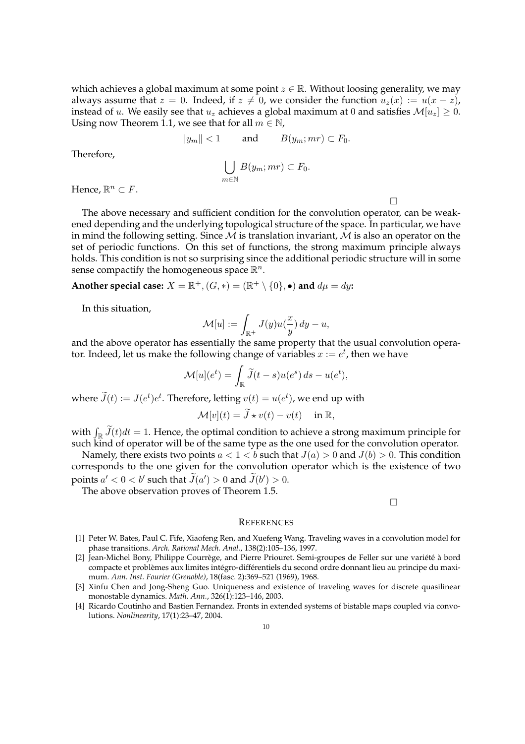which achieves a global maximum at some point  $z \in \mathbb{R}$ . Without loosing generality, we may always assume that  $z = 0$ . Indeed, if  $z \neq 0$ , we consider the function  $u_z(x) := u(x - z)$ , instead of u. We easily see that  $u_z$  achieves a global maximum at 0 and satisfies  $\mathcal{M}[u_z] \geq 0$ . Using now Theorem 1.1, we see that for all  $m \in \mathbb{N}$ ,

$$
||y_m|| < 1 \quad \text{and} \quad B(y_m; mr) \subset F_0.
$$
  

$$
\bigcup_{m \in \mathbb{N}} B(y_m; mr) \subset F_0.
$$

Hence,  $\mathbb{R}^n \subset F$ .

Therefore,

The above necessary and sufficient condition for the convolution operator, can be weakened depending and the underlying topological structure of the space. In particular, we have in mind the following setting. Since  $M$  is translation invariant,  $M$  is also an operator on the set of periodic functions. On this set of functions, the strong maximum principle always holds. This condition is not so surprising since the additional periodic structure will in some sense compactify the homogeneous space  $\mathbb{R}^n$ .

Another special case:  $X = \mathbb{R}^+, (G,*) = (\mathbb{R}^+ \setminus \{0\}, \bullet)$  and  $d\mu = dy$ :

In this situation,

$$
\mathcal{M}[u] := \int_{\mathbb{R}^+} J(y)u(\frac{x}{y}) dy - u,
$$

and the above operator has essentially the same property that the usual convolution operator. Indeed, let us make the following change of variables  $x := e^t$ , then we have

$$
\mathcal{M}[u](e^t) = \int_{\mathbb{R}} \widetilde{J}(t-s)u(e^s) ds - u(e^t),
$$

where  $\widetilde{J}(t) := J(e^t) e^t$ . Therefore, letting  $v(t) = u(e^t)$ , we end up with

$$
\mathcal{M}[v](t) = \widetilde{J} \star v(t) - v(t) \quad \text{ in } \mathbb{R},
$$

with  $\int_{\mathbb{R}} \widetilde{J}(t)dt = 1$ . Hence, the optimal condition to achieve a strong maximum principle for such kind of operator will be of the same type as the one used for the convolution operator.

Namely, there exists two points  $a < 1 < b$  such that  $J(a) > 0$  and  $J(b) > 0$ . This condition corresponds to the one given for the convolution operator which is the existence of two points  $a' < 0 < b'$  such that  $\widetilde{J}(a') > 0$  and  $\widetilde{J}(b') > 0$ .

The above observation proves of Theorem 1.5.

¤

¤

#### **REFERENCES**

- [1] Peter W. Bates, Paul C. Fife, Xiaofeng Ren, and Xuefeng Wang. Traveling waves in a convolution model for phase transitions. *Arch. Rational Mech. Anal.*, 138(2):105–136, 1997.
- [2] Jean-Michel Bony, Philippe Courrège, and Pierre Priouret. Semi-groupes de Feller sur une variété à bord compacte et problèmes aux limites intégro-différentiels du second ordre donnant lieu au principe du maximum. *Ann. Inst. Fourier (Grenoble)*, 18(fasc. 2):369–521 (1969), 1968.
- [3] Xinfu Chen and Jong-Sheng Guo. Uniqueness and existence of traveling waves for discrete quasilinear monostable dynamics. *Math. Ann.*, 326(1):123–146, 2003.
- [4] Ricardo Coutinho and Bastien Fernandez. Fronts in extended systems of bistable maps coupled via convolutions. *Nonlinearity*, 17(1):23–47, 2004.